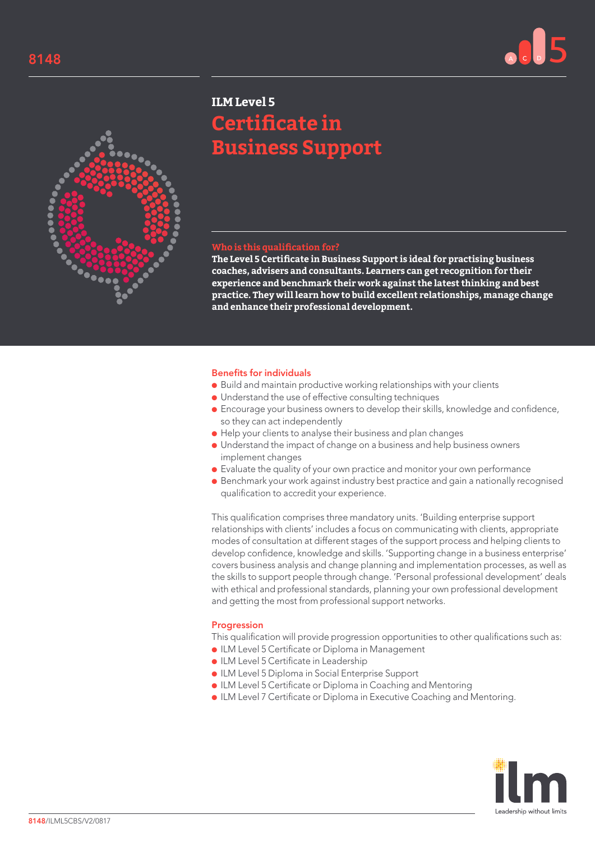



# **ILM Level 5 Certificate in Business Support**

## **Who is this qualification for?**

**The Level 5 Certificate in Business Support is ideal for practising business coaches, advisers and consultants. Learners can get recognition for their experience and benchmark their work against the latest thinking and best practice. They will learn how to build excellent relationships, manage change and enhance their professional development.**

### Benefits for individuals

- Build and maintain productive working relationships with your clients
- Understand the use of effective consulting techniques
- Encourage your business owners to develop their skills, knowledge and confidence, so they can act independently
- Help your clients to analyse their business and plan changes
- Understand the impact of change on a business and help business owners implement changes
- Evaluate the quality of your own practice and monitor your own performance
- Benchmark your work against industry best practice and gain a nationally recognised qualification to accredit your experience.

This qualification comprises three mandatory units. 'Building enterprise support relationships with clients' includes a focus on communicating with clients, appropriate modes of consultation at different stages of the support process and helping clients to develop confidence, knowledge and skills. 'Supporting change in a business enterprise' covers business analysis and change planning and implementation processes, as well as the skills to support people through change. 'Personal professional development' deals with ethical and professional standards, planning your own professional development and getting the most from professional support networks.

#### Progression

This qualification will provide progression opportunities to other qualifications such as:

- ILM Level 5 Certificate or Diploma in Management
- ILM Level 5 Certificate in Leadership
- ILM Level 5 Diploma in Social Enterprise Support
- ILM Level 5 Certificate or Diploma in Coaching and Mentoring
- ILM Level 7 Certificate or Diploma in Executive Coaching and Mentoring.